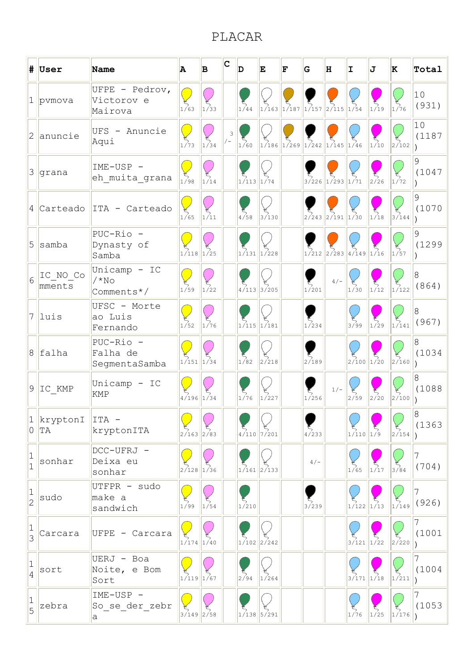## PLACAR

|                               | $  $ User                | <b>Name</b>                             | A                                                                                                                      | B                 | C | D                | E                  | F | G                                                                                                                                                                     | H                              | I                                                | IJ                | K                 | Total                   |
|-------------------------------|--------------------------|-----------------------------------------|------------------------------------------------------------------------------------------------------------------------|-------------------|---|------------------|--------------------|---|-----------------------------------------------------------------------------------------------------------------------------------------------------------------------|--------------------------------|--------------------------------------------------|-------------------|-------------------|-------------------------|
| $\mathbf 1$                   | pvmova                   | UFPE - Pedrov,<br>Victorov e<br>Mairova | <b>Service Service</b><br>1/63                                                                                         | 1/33              |   | 1/44             |                    |   | $\frac{1}{1/163}\left  \frac{1}{1/187} \right \left  \frac{1}{157} \right \left  \frac{1}{2/115} \right $                                                             |                                | 1/54                                             | $\frac{1}{2}$     | 1/76              | 10<br>(931)             |
| $\overline{2}$                | anuncie                  | UFS - Anuncie<br>Aqui                   | J.<br>1/73                                                                                                             | $\frac{45}{1/34}$ | 3 | 1/60             |                    |   | $\begin{bmatrix} 5 \\ 1/186 \end{bmatrix} \begin{bmatrix} 5 \\ 1/269 \end{bmatrix} \begin{bmatrix} 5 \\ 1/242 \end{bmatrix} \begin{bmatrix} 5 \\ 1/145 \end{bmatrix}$ |                                | $\frac{1}{46}$                                   | $\frac{5}{1/10}$  | 2/102             | 10<br>(1187             |
| 3                             | grana                    | IME-USP -<br>eh_muita_grana             | and the state of the state of the state of the state of the state of the state of the state of the state of th<br>1/98 | 1/14              |   | $1/113$ $1/74$   |                    |   |                                                                                                                                                                       | $3/226$ $1/293$ $1/71$         |                                                  | 2726              | 1/72              | 9<br>(1047              |
|                               | $4$ Carteado             | ITA - Carteado                          | J.<br>1/65                                                                                                             | 1/11              |   | 4/58             | 3/130              |   |                                                                                                                                                                       | $2/243$ $2/191$ $1/30$         |                                                  | 1/18              | 3/144             | 9<br>(1070              |
| 5                             | samba                    | PUC-Rio -<br>Dynasty of<br>Samba        | $1/118$ 1/25                                                                                                           |                   |   |                  | $1/131$ $1/228$    |   |                                                                                                                                                                       | $1/212$ $2/283$ $4/149$ $1/16$ |                                                  |                   | 1/57              | 9<br>(1299              |
| 6                             | IC NO Co<br>mments       | Unicamp - IC<br>$/*NO$<br>Comments*/    | 1/59                                                                                                                   | 1/22              |   | 4/113            | 3/205              |   | 1/201                                                                                                                                                                 | $4/-$                          | 1/30                                             | $\int_{1/12}^{5}$ | $\frac{5}{1/122}$ | 8<br>(864)              |
|                               | $7$  luis                | UFSC - Morte<br>ao Luis<br>Fernando     | <b>Service Service</b><br>1/52                                                                                         | $\int_{1/76}^{5}$ |   |                  | $1/115$ 1/181      |   | 1/234                                                                                                                                                                 |                                | 3/99                                             | $\frac{5}{1/29}$  | 1/141             | $\overline{8}$<br>(967) |
|                               | $8$ falha                | PUC-Rio -<br>Falha de<br>SegmentaSamba  | ÷.<br>$1/151$ $1/34$                                                                                                   |                   |   | 1/82             | 2/218              |   | 2/189                                                                                                                                                                 |                                | $2/100$ $1/20$                                   |                   | 2/160             | 8<br>(1034              |
|                               | $9$   $IC_KMP$           | Unicamp - IC<br><b>KMP</b>              | $4/196$ 1/34                                                                                                           |                   |   | $\frac{5}{1/76}$ | $\frac{45}{1/227}$ |   | 1/256                                                                                                                                                                 | $1/-$                          | 2/59                                             | $\frac{1}{2}$ /20 | 2/100             | 8<br>(1088              |
|                               | $1$ kryptonI<br>$0$   TA | ITA -<br>kryptonITA                     | $2/163$ $2/83$                                                                                                         |                   |   |                  | $4/110$ 7/201      |   | 4/233                                                                                                                                                                 |                                | $1/110$ $1/9$                                    |                   | 2/154             | $\mathsf{R}$<br>(1363)  |
| 1<br>$\overline{1}$           | sonhar                   | DCC-UFRJ -<br>Deixa eu<br>sonhar        | $2/128$ 1/36                                                                                                           |                   |   |                  | $1/161$ 2/133      |   | $4/-$                                                                                                                                                                 |                                | $\frac{4}{1/65}$                                 | $\int_{1/17}$     | 3/84              | 7<br>(704)              |
| 1<br>$\overline{2}$           | sudo                     | UTFPR - sudo<br>make a<br>sandwich      | 1/99                                                                                                                   | 1/54              |   | 1/210            |                    |   | 3/239                                                                                                                                                                 |                                | $\frac{5}{1/122}\Big _{1/13}$                    |                   | 1/149             | (926)                   |
| 1<br>$\overline{3}$           | Carcara                  | UFPE - Carcara                          | $1/174$ $1/40$                                                                                                         |                   |   |                  | $1/102$ 2/242      |   |                                                                                                                                                                       |                                | $\frac{5}{3}$ /121 $\left  \frac{1}{22} \right $ |                   | 2/220             | (1001                   |
| $1\,$<br>$\overline{4}$       | sort                     | UERJ - Boa<br>Noite, e Bom<br>Sort      | $1/119$ 1/67                                                                                                           |                   |   | 2/94             | 1/264              |   |                                                                                                                                                                       |                                | $3/171$ 1/18                                     |                   | 1/211             | (1004                   |
| $\mathbf 1$<br>$\overline{5}$ | zebra                    | IME-USP -<br>So se der zebr<br>a        | $3/149$ 2/58                                                                                                           |                   |   |                  | $1/138$ 5/291      |   |                                                                                                                                                                       |                                | 1/76                                             | 1/25              | 1/176             | (1053)                  |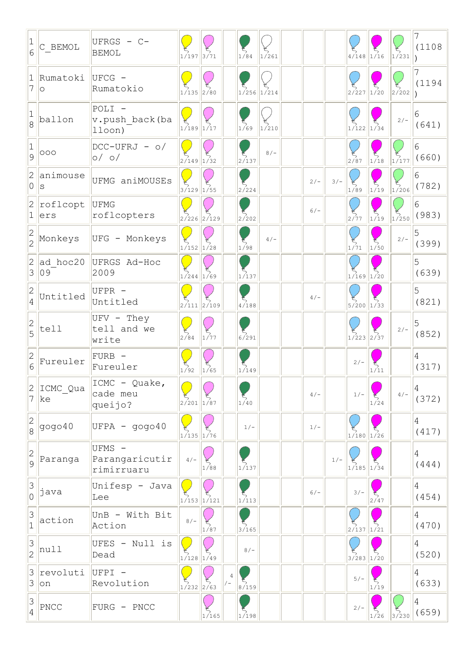| 6                                       | C BEMOL                    | UFRGS - C-<br><b>BEMOL</b>             | <b>Service Service</b><br>$1/197$ 3/71 |                    |   | 1/84                                      | 1/261 |        |       | $4/148$ 1/16        |                                           | 1/231             | 7<br>(1108              |
|-----------------------------------------|----------------------------|----------------------------------------|----------------------------------------|--------------------|---|-------------------------------------------|-------|--------|-------|---------------------|-------------------------------------------|-------------------|-------------------------|
| $1\vert$<br>7                           | Rumatoki<br>lo             | UFCG -<br>Rumatokio                    | $\frac{1}{1/135}$ 2/80                 |                    |   | $1/256$ 1/214                             |       |        |       | $\frac{12}{2}$ /227 | $\int_{1/20}^{5}$                         | 2/202             | (1194                   |
| 8                                       | ballon                     | POLI -<br>v.push back(ba<br>lloon)     | $1/189$ 1/17                           |                    |   | 1/69                                      | 1/210 |        |       | $1/122$ 1/34        |                                           | $2/-$             | 6<br>(641)              |
| 1<br>9                                  | 000                        | $DCC-UFRJ - o/$<br>$o/$ $o/$           | $2/149$ 1/32                           |                    |   | 2/137                                     | $8/-$ |        |       | 2/87                | 1/18                                      | 1/177             | 6<br>(660)              |
| 2<br>0                                  | lanimouse<br>ls            | UFMG aniMOUSEs                         | $3/129$ 1/55                           |                    |   | $\frac{5}{2}$ /224                        |       | $2/-$  | $3/-$ | 1/89                | 1/19                                      | $\frac{5}{1/206}$ | 6<br>(782)              |
| 2<br>$\mathbf 1$                        | roflcopt<br>ers            | <b>UFMG</b><br>roflcopters             |                                        | $2/226$ $2/129$    |   | $\frac{5}{2/202}$                         |       | $6/-$  |       | $\frac{2}{777}$     | $\begin{bmatrix} 2 \\ 1/19 \end{bmatrix}$ | $\frac{5}{1/250}$ | 6<br>(983)              |
| $\frac{2}{2}$                           | Monkeys                    | UFG - Monkeys                          | $1/152$ $1/28$                         |                    |   | $\frac{1}{1/98}$                          | $4/-$ |        |       | 1/71                | 1/50                                      | $2/-$             | 5<br>(399)              |
| 2<br>3                                  | ad hoc20<br>09             | UFRGS Ad-Hoc<br>2009                   | $1/244$ $1/69$                         |                    |   | $\frac{5}{1/137}$                         |       |        |       | $1/169$ $1/20$      |                                           |                   | 5<br>(639)              |
| 2<br>4                                  | Untitled                   | UFPR -<br>Untitled                     |                                        | $2/111$ $2/109$    |   | 4/188                                     |       | $4/-$  |       | $5/200$ 1/33        |                                           |                   | 5<br>(821)              |
| $\frac{2}{5}$                           | tell                       | $UFV - They$<br>tell and we<br>write   | 2/84                                   | 1/77               |   | 6/291                                     |       |        |       | $1/223$ 2/37        |                                           | $2/-$             | 5<br>(852)              |
| 2<br>6                                  | Fureuler                   | FURB -<br>Fureuler                     | 1/92                                   | 1/65               |   | $\sum_{1/149}$                            |       |        |       | $2/-$               | 1/11                                      |                   | 4<br>(317)              |
|                                         | $2$   ICMC_Qua<br>$7$   ke | ICMC - Quake,<br>cade meu<br>queijo?   | $\bigcirc$<br>$2/201$ 1/87             |                    |   | $\begin{bmatrix} 1 \\ 1 \end{bmatrix}$ 40 |       | $4/-$  |       | $1/-$               | 1/24                                      | $4/-$             | 4<br>(372)              |
| $\begin{array}{c} 2 \\ 8 \end{array}$   | gogo40                     | $UFPA - gogo40$                        | $1/135$ $1/76$                         |                    |   | $1/-$                                     |       | $1/-$  |       | $1/180$ $1/26$      |                                           |                   | $\overline{4}$<br>(417) |
| $\begin{array}{c}\n2 \\ 9\n\end{array}$ | Paranga                    | UFMS -<br>Parangaricutir<br>rimirruaru | $4/-$                                  | 1/88               |   | 1/137                                     |       |        | $1/-$ | $1/185$ 1/34        |                                           |                   | $\overline{4}$<br>(444) |
| $\begin{array}{c} 3 \\ 0 \end{array}$   | java                       | Unifesp - Java<br>Lee                  |                                        | $1/153$ $1/121$    |   | 1/113                                     |       | $6/ -$ |       | $3/-$               | 2/47                                      |                   | 4<br>(454)              |
| $\mathsf S$<br>$\overline{1}$           | action                     | UnB - With Bit<br>Action               | $8/-$                                  | 1/87               |   | 3/165                                     |       |        |       | $2/137$ 1/21        |                                           |                   | 4<br>(470)              |
| 3<br>$\overline{2}$                     | null                       | UFES - Null is<br>Dead                 | $1/128$ 1/49                           |                    |   | $8/-$                                     |       |        |       | $3/283$ 1/20        |                                           |                   | 4<br>(520)              |
| 3                                       | $3$ revoluti<br> on        | UFPI -<br>Revolution                   | $1/232$ $2/63$                         |                    | 4 | 8/159                                     |       |        |       | $5/-$               | 1/19                                      |                   | 4<br>(633)              |
| $\frac{3}{4}$                           | PNCC                       | FURG - PNCC                            |                                        | $\frac{45}{1/165}$ |   | 1/198                                     |       |        |       | $2/-$               | 1/26                                      | 3/230             | 4<br>(659)              |